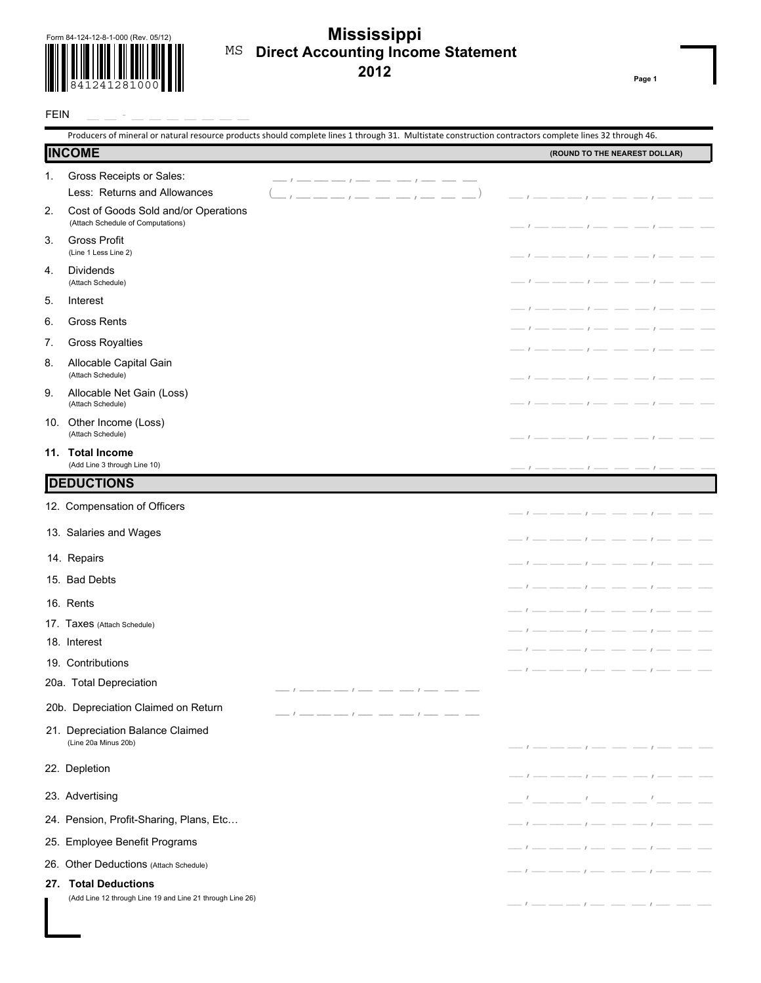

## **Direct Accounting Income Statement 2012 Mississippi**  MS

**Page 1**

| <b>INCOME</b>                                                                                                      | (ROUND TO THE NEAREST DOLLAR)                                                                                                                                                                                                                                                                                                                                                                                                                                                   |
|--------------------------------------------------------------------------------------------------------------------|---------------------------------------------------------------------------------------------------------------------------------------------------------------------------------------------------------------------------------------------------------------------------------------------------------------------------------------------------------------------------------------------------------------------------------------------------------------------------------|
|                                                                                                                    |                                                                                                                                                                                                                                                                                                                                                                                                                                                                                 |
| Gross Receipts or Sales:<br>1.<br>Less: Returns and Allowances                                                     |                                                                                                                                                                                                                                                                                                                                                                                                                                                                                 |
| the contract of the contract of<br>2.<br>Cost of Goods Sold and/or Operations<br>(Attach Schedule of Computations) | $\sqrt{2}$                                                                                                                                                                                                                                                                                                                                                                                                                                                                      |
| <b>Gross Profit</b><br>3.<br>(Line 1 Less Line 2)                                                                  | $\overline{\phantom{a}}$ $\overline{\phantom{a}}$ $\overline{\phantom{a}}$ $\overline{\phantom{a}}$ $\overline{\phantom{a}}$ $\overline{\phantom{a}}$ $\overline{\phantom{a}}$ $\overline{\phantom{a}}$ $\overline{\phantom{a}}$ $\overline{\phantom{a}}$ $\overline{\phantom{a}}$ $\overline{\phantom{a}}$ $\overline{\phantom{a}}$ $\overline{\phantom{a}}$ $\overline{\phantom{a}}$ $\overline{\phantom{a}}$ $\overline{\phantom{a}}$ $\overline{\phantom{a}}$ $\overline{\$ |
| <b>Dividends</b><br>4.<br>(Attach Schedule)                                                                        | $-1$ and $-$ and $-$ and $-$ and $-$                                                                                                                                                                                                                                                                                                                                                                                                                                            |
| 5.<br>Interest                                                                                                     |                                                                                                                                                                                                                                                                                                                                                                                                                                                                                 |
| <b>Gross Rents</b><br>6.                                                                                           |                                                                                                                                                                                                                                                                                                                                                                                                                                                                                 |
| <b>Gross Royalties</b><br>7.                                                                                       | $I -$                                                                                                                                                                                                                                                                                                                                                                                                                                                                           |
| Allocable Capital Gain<br>8.<br>(Attach Schedule)                                                                  | $I \longrightarrow I$                                                                                                                                                                                                                                                                                                                                                                                                                                                           |
| Allocable Net Gain (Loss)<br>9.<br>(Attach Schedule)                                                               | $I =$                                                                                                                                                                                                                                                                                                                                                                                                                                                                           |
| Other Income (Loss)<br>10.<br>(Attach Schedule)                                                                    |                                                                                                                                                                                                                                                                                                                                                                                                                                                                                 |
| 11. Total Income<br>(Add Line 3 through Line 10)                                                                   | $-1$ $  -$                                                                                                                                                                                                                                                                                                                                                                                                                                                                      |
| <b>DEDUCTIONS</b>                                                                                                  |                                                                                                                                                                                                                                                                                                                                                                                                                                                                                 |
| 12. Compensation of Officers                                                                                       |                                                                                                                                                                                                                                                                                                                                                                                                                                                                                 |
| 13. Salaries and Wages                                                                                             |                                                                                                                                                                                                                                                                                                                                                                                                                                                                                 |
| 14. Repairs                                                                                                        |                                                                                                                                                                                                                                                                                                                                                                                                                                                                                 |
| 15. Bad Debts                                                                                                      | $\mathcal{L}$                                                                                                                                                                                                                                                                                                                                                                                                                                                                   |
| 16. Rents                                                                                                          |                                                                                                                                                                                                                                                                                                                                                                                                                                                                                 |
| 17. Taxes (Attach Schedule)                                                                                        | $\frac{1}{2}$ $\frac{1}{2}$ $\frac{1}{2}$ $\frac{1}{2}$ $\frac{1}{2}$ $\frac{1}{2}$ $\frac{1}{2}$ $\frac{1}{2}$ $\frac{1}{2}$ $\frac{1}{2}$ $\frac{1}{2}$ $\frac{1}{2}$ $\frac{1}{2}$ $\frac{1}{2}$ $\frac{1}{2}$ $\frac{1}{2}$ $\frac{1}{2}$ $\frac{1}{2}$ $\frac{1}{2}$ $\frac{1}{2}$ $\frac{1}{2}$ $\frac{1}{2}$                                                                                                                                                             |
| 18. Interest                                                                                                       |                                                                                                                                                                                                                                                                                                                                                                                                                                                                                 |
| 19. Contributions                                                                                                  |                                                                                                                                                                                                                                                                                                                                                                                                                                                                                 |
| 20a. Total Depreciation                                                                                            |                                                                                                                                                                                                                                                                                                                                                                                                                                                                                 |
| 20b. Depreciation Claimed on Return                                                                                |                                                                                                                                                                                                                                                                                                                                                                                                                                                                                 |
| 21. Depreciation Balance Claimed<br>(Line 20a Minus 20b)                                                           |                                                                                                                                                                                                                                                                                                                                                                                                                                                                                 |
| 22. Depletion                                                                                                      | $-1$ - - - - $-1$ - - - - - $1$ -                                                                                                                                                                                                                                                                                                                                                                                                                                               |
| 23. Advertising                                                                                                    | __'____'_ __ __'___                                                                                                                                                                                                                                                                                                                                                                                                                                                             |
| 24. Pension, Profit-Sharing, Plans, Etc                                                                            | $-1$ - - - $-1$ - - - - $1$ -                                                                                                                                                                                                                                                                                                                                                                                                                                                   |
| 25. Employee Benefit Programs                                                                                      | $-1$ - - - - $1$ - - - - - $1$                                                                                                                                                                                                                                                                                                                                                                                                                                                  |
| 26. Other Deductions (Attach Schedule)                                                                             |                                                                                                                                                                                                                                                                                                                                                                                                                                                                                 |
| <b>Total Deductions</b><br>27.                                                                                     | $-1$ - - - - $-1$ - - - - - $1$ -                                                                                                                                                                                                                                                                                                                                                                                                                                               |
| (Add Line 12 through Line 19 and Line 21 through Line 26)                                                          | $-1$ --- --- -- -- -- --- --- --- --- ---                                                                                                                                                                                                                                                                                                                                                                                                                                       |